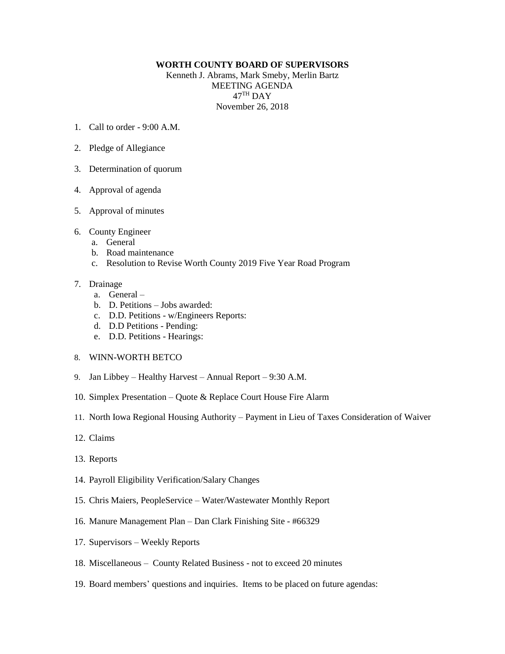## **WORTH COUNTY BOARD OF SUPERVISORS**

Kenneth J. Abrams, Mark Smeby, Merlin Bartz MEETING AGENDA  $47^{\mathrm{TH}}$  DAY November 26, 2018

- 1. Call to order 9:00 A.M.
- 2. Pledge of Allegiance
- 3. Determination of quorum
- 4. Approval of agenda
- 5. Approval of minutes
- 6. County Engineer
	- a. General
	- b. Road maintenance
	- c. Resolution to Revise Worth County 2019 Five Year Road Program

## 7. Drainage

- a. General –
- b. D. Petitions Jobs awarded:
- c. D.D. Petitions w/Engineers Reports:
- d. D.D Petitions Pending:
- e. D.D. Petitions Hearings:
- 8. WINN-WORTH BETCO
- 9. Jan Libbey Healthy Harvest Annual Report 9:30 A.M.
- 10. Simplex Presentation Quote & Replace Court House Fire Alarm
- 11. North Iowa Regional Housing Authority Payment in Lieu of Taxes Consideration of Waiver
- 12. Claims
- 13. Reports
- 14. Payroll Eligibility Verification/Salary Changes
- 15. Chris Maiers, PeopleService Water/Wastewater Monthly Report
- 16. Manure Management Plan Dan Clark Finishing Site #66329
- 17. Supervisors Weekly Reports
- 18. Miscellaneous County Related Business not to exceed 20 minutes
- 19. Board members' questions and inquiries. Items to be placed on future agendas: